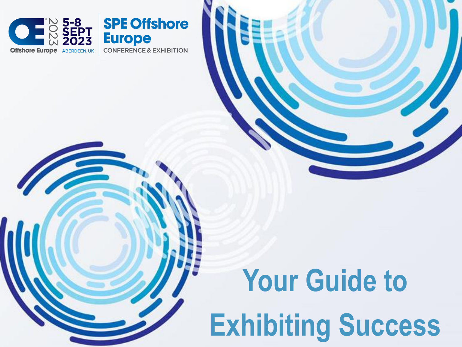

# **Your Guide to Exhibiting Success**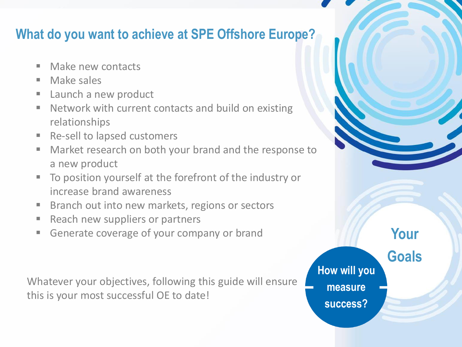#### **What do you want to achieve at SPE Offshore Europe?**

- Make new contacts
- Make sales
- Launch a new product
- Network with current contacts and build on existing relationships
- Re-sell to lapsed customers
- Market research on both your brand and the response to a new product
- To position yourself at the forefront of the industry or increase brand awareness
- Branch out into new markets, regions or sectors
- Reach new suppliers or partners
- Generate coverage of your company or brand

Whatever your objectives, following this guide will ensure this is your most successful OE to date!

**How will you measure success?**

**Your Goals**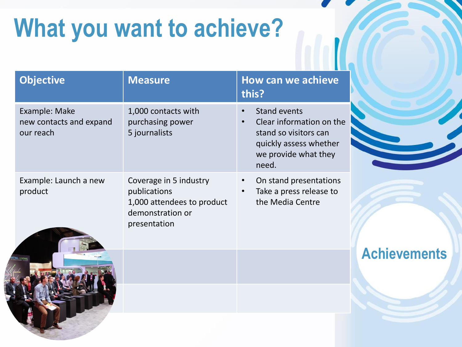# **What you want to achieve?**

| <b>Objective</b>                                      | <b>Measure</b>                                                                                           | How can we achieve<br>this?                                                                                                                                   |                     |
|-------------------------------------------------------|----------------------------------------------------------------------------------------------------------|---------------------------------------------------------------------------------------------------------------------------------------------------------------|---------------------|
| Example: Make<br>new contacts and expand<br>our reach | 1,000 contacts with<br>purchasing power<br>5 journalists                                                 | <b>Stand events</b><br>$\bullet$<br>Clear information on the<br>$\bullet$<br>stand so visitors can<br>quickly assess whether<br>we provide what they<br>need. |                     |
| Example: Launch a new<br>product                      | Coverage in 5 industry<br>publications<br>1,000 attendees to product<br>demonstration or<br>presentation | On stand presentations<br>$\bullet$<br>Take a press release to<br>the Media Centre                                                                            |                     |
|                                                       |                                                                                                          |                                                                                                                                                               | <b>Achievements</b> |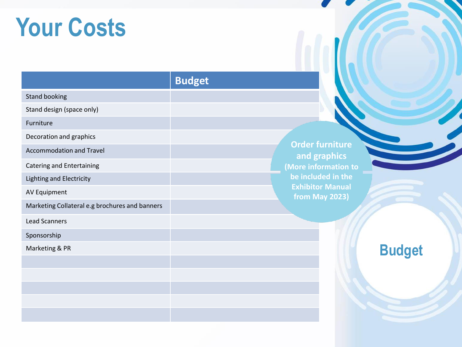## **Your Costs**

| <b>Budget</b> |  |
|---------------|--|
|---------------|--|

**Order furniture and graphics (More information to be included in the Exhibitor Manual from May 2023)**

**Budget**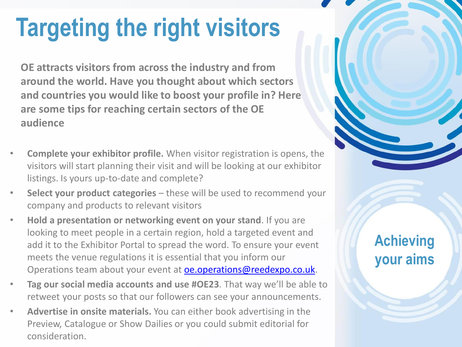# **Targeting the right visitors**

**OE attracts visitors from across the industry and from around the world. Have you thought about which sectors and countries you would like to boost your profile in? Here are some tips for reaching certain sectors of the OE audience**

- **Complete your exhibitor profile.** When visitor registration is opens, the visitors will start planning their visit and will be looking at our exhibitor listings. Is yours up-to-date and complete?
- **Select your product categories**  these will be used to recommend your company and products to relevant visitors
- **Hold a presentation or networking event on your stand**. If you are looking to meet people in a certain region, hold a targeted event and add it to the Exhibitor Portal to spread the word. To ensure your event meets the venue regulations it is essential that you inform our Operations team about your event at **[oe.operations@reedexpo.co.uk](mailto:oe.operations@reedexpo.co.uk)**.
- **Tag our social media accounts and use #OE23**. That way we'll be able to retweet your posts so that our followers can see your announcements.
- **Advertise in onsite materials.** You can either book advertising in the Preview, Catalogue or Show Dailies or you could submit editorial for consideration.

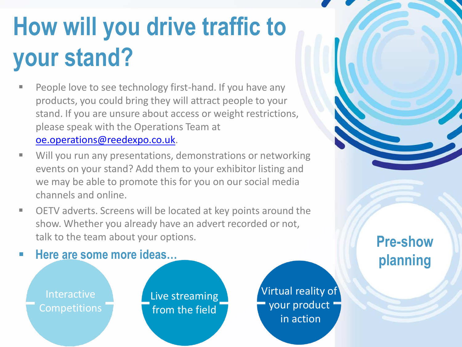# **How will you drive traffic to your stand?**

- People love to see technology first-hand. If you have any products, you could bring they will attract people to your stand. If you are unsure about access or weight restrictions, please speak with the Operations Team at [oe.operations@reedexpo.co.uk](mailto:oe.operations@reedexpo.co.uk).
- Will you run any presentations, demonstrations or networking events on your stand? Add them to your exhibitor listing and we may be able to promote this for you on our social media channels and online.
- OETV adverts. Screens will be located at key points around the show. Whether you already have an advert recorded or not, talk to the team about your options.



**Pre-show planning**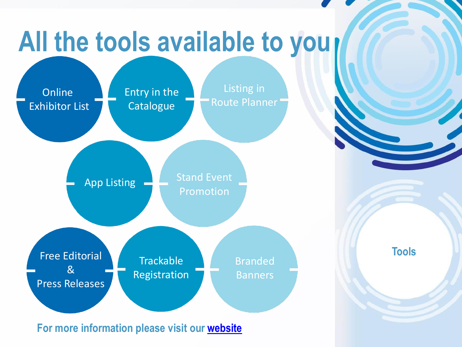# **All the tools available to you**

**Online** Exhibitor List Entry in the **Catalogue** 

Listing in Route Planner

App Listing

Stand Event Promotion

Free Editorial & Press Releases

**Trackable** Registration **Branded** Banners

**For more information please visit our [website](https://www.offshore-europe.co.uk/en-gb/exhibit/manage-participation/marketing-collateral.html)**

**Tools**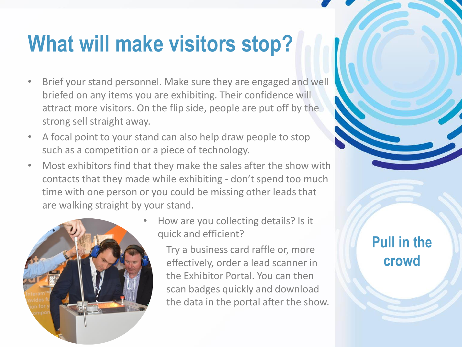### **What will make visitors stop?**

- Brief your stand personnel. Make sure they are engaged and well briefed on any items you are exhibiting. Their confidence will attract more visitors. On the flip side, people are put off by the strong sell straight away.
- A focal point to your stand can also help draw people to stop such as a competition or a piece of technology.
- Most exhibitors find that they make the sales after the show with contacts that they made while exhibiting - don't spend too much time with one person or you could be missing other leads that are walking straight by your stand.



• How are you collecting details? Is it quick and efficient?

> Try a business card raffle or, more effectively, order a lead scanner in the Exhibitor Portal. You can then scan badges quickly and download the data in the portal after the show.

#### **Pull in the crowd**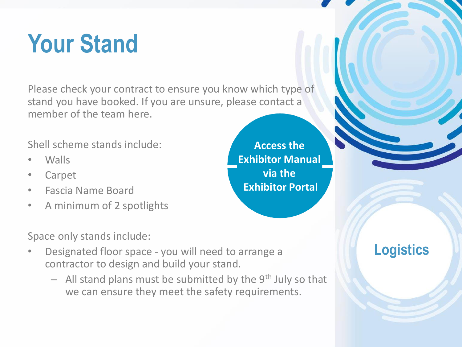# **Your Stand**

Please check your contract to ensure you know which type of stand you have booked. If you are unsure, please contact a member of the team here.

Shell scheme stands include:

- Walls
- Carpet
- Fascia Name Board
- A minimum of 2 spotlights

**Access the Exhibitor Manual via the Exhibitor Portal**

Space only stands include:

- Designated floor space you will need to arrange a contractor to design and build your stand.
	- $-$  All stand plans must be submitted by the 9<sup>th</sup> July so that we can ensure they meet the safety requirements.

#### **Logistics**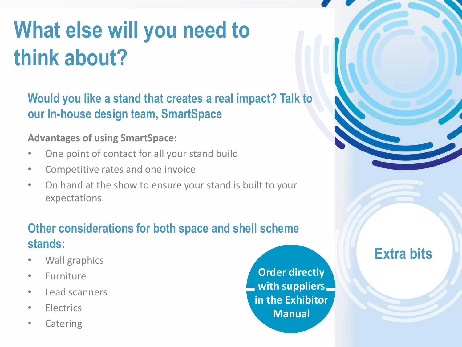# **What else will you need to think about?**

**Would you like a stand that creates a real impact? Talk to our In-house design team, SmartSpace**

#### **Advantages of using SmartSpace:**

- One point of contact for all your stand build
- Competitive rates and one invoice
- On hand at the show to ensure your stand is built to your expectations.

#### **Other considerations for both space and shell scheme stands:**

- Wall graphics
- Furniture
- Lead scanners
- Electrics
- Catering

**Order directly with suppliers in the Exhibitor Manual**

**Extra bits**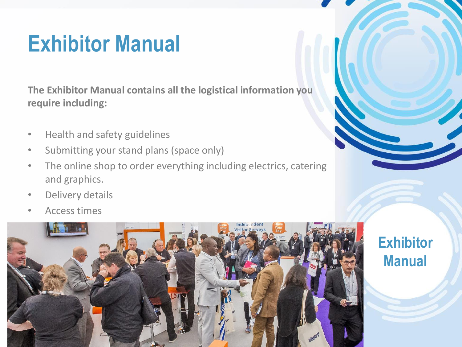### **Exhibitor Manual**

**The Exhibitor Manual contains all the logistical information you require including:**

- Health and safety guidelines
- Submitting your stand plans (space only)
- The online shop to order everything including electrics, catering and graphics.
- Delivery details
- Access times



**Exhibitor** 

**Manual**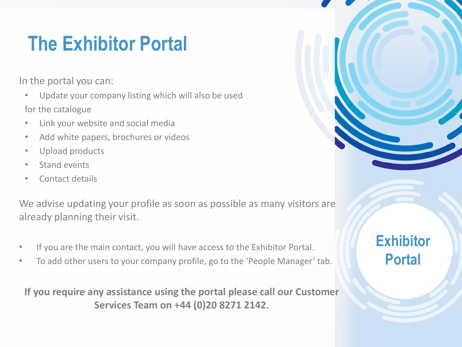### **The Exhibitor Portal**

In the portal you can:

• Update your company listing which will also be used for the catalogue

- Link your website and social media
- Add white papers, brochures or videos
- Upload products
- Stand events
- Contact details

We advise updating your profile as soon as possible as many visitors are already planning their visit.

- If you are the main contact, you will have access to the Exhibitor Portal.
- To add other users to your company profile, go to the 'People Manager' tab.

**If you require any assistance using the portal please call our Customer Services Team on +44 (0)20 8271 2142.**



#### **Exhibitor Portal**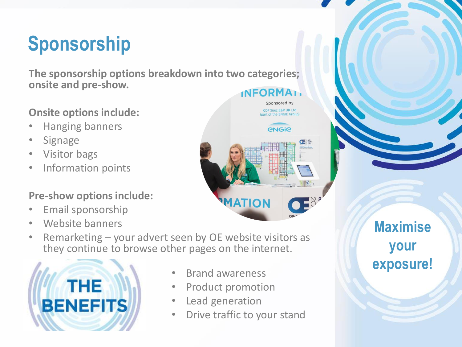### **Sponsorship**

**The sponsorship options breakdown into two categories; onsite and pre-show. INFORMAL** 

#### **Onsite options include:**

- Hanging banners
- **Signage**
- Visitor bags
- Information points

#### **Pre-show options include:**

- Email sponsorship
- Website banners
- Remarketing your advert seen by OE website visitors as they continue to browse other pages on the internet.



- Brand awareness
- Product promotion
- Lead generation
- Drive traffic to your stand

**MATIO** 

Sponsored by **GDF Suez E&P UK Ltd** 

*<u>ENGIB</u>* 

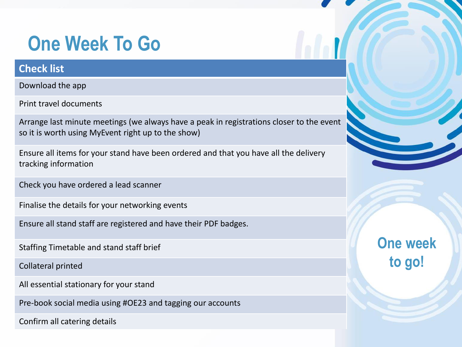### **One Week To Go**

#### **Check list**

Download the app

Print travel documents

Arrange last minute meetings (we always have a peak in registrations closer to the event so it is worth using MyEvent right up to the show)

Ensure all items for your stand have been ordered and that you have all the delivery tracking information

Check you have ordered a lead scanner

Finalise the details for your networking events

Ensure all stand staff are registered and have their PDF badges.

Staffing Timetable and stand staff brief

Collateral printed

All essential stationary for your stand

Pre-book social media using #OE23 and tagging our accounts

Confirm all catering details



**One week to go!**